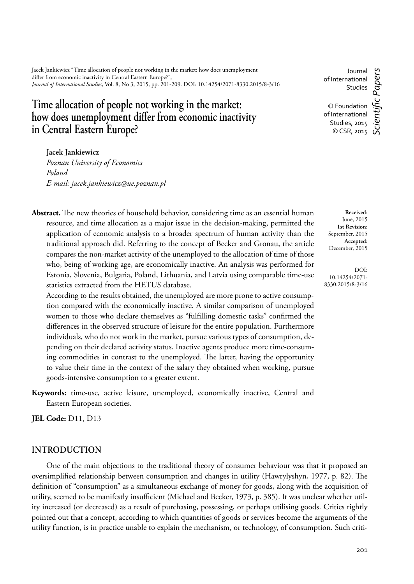Jacek Jankiewicz "Time allocation of people not working in the market: how does unemployment differ from economic inactivity in Central Eastern Europe?", *Journal of International Studies*, Vol. 8, No 3, 2015, pp. 201-209. DOI: 10.14254/2071-8330.2015/8-3/16

# **Time allocation of people not working in the market:**  how does unemployment differ from economic inactivity in Central Eastern Europe?

Journal of International Studies

c Papers *Scientifi c Papers* © Foundation of International Studies, 2015  $\circ$  CSR, 2015

**Jacek Jankiewicz**

*Poznan University of Economics Poland E-mail: jacek.jankiewicz@ue.poznan.pl*

Abstract. The new theories of household behavior, considering time as an essential human resource, and time allocation as a major issue in the decision-making, permitted the application of economic analysis to a broader spectrum of human activity than the traditional approach did. Referring to the concept of Becker and Gronau, the article compares the non-market activity of the unemployed to the allocation of time of those who, being of working age, are economically inactive. An analysis was performed for Estonia, Slovenia, Bulgaria, Poland, Lithuania, and Latvia using comparable time-use statistics extracted from the HETUS database.

According to the results obtained, the unemployed are more prone to active consumption compared with the economically inactive. A similar comparison of unemployed women to those who declare themselves as "fulfilling domestic tasks" confirmed the differences in the observed structure of leisure for the entire population. Furthermore individuals, who do not work in the market, pursue various types of consumption, depending on their declared activity status. Inactive agents produce more time-consuming commodities in contrast to the unemployed. The latter, having the opportunity to value their time in the context of the salary they obtained when working, pursue goods-intensive consumption to a greater extent.

**Keywords:** time-use, active leisure, unemployed, economically inactive, Central and Eastern European societies.

**JEL Code:** D11, D13

### **INTRODUCTION**

 One of the main objections to the traditional theory of consumer behaviour was that it proposed an oversimplified relationship between consumption and changes in utility (Hawrylyshyn, 1977, p. 82). The definition of "consumption" as a simultaneous exchange of money for goods, along with the acquisition of utility, seemed to be manifestly insufficient (Michael and Becker, 1973, p. 385). It was unclear whether utility increased (or decreased) as a result of purchasing, possessing, or perhaps utilising goods. Critics rightly pointed out that a concept, according to which quantities of goods or services become the arguments of the utility function, is in practice unable to explain the mechanism, or technology, of consumption. Such criti-

**Received**: June, 2015 **1st Revision:** September, 2015 **Accepted:** December, 2015

DOI: 10.14254/2071- 8330.2015/8-3/16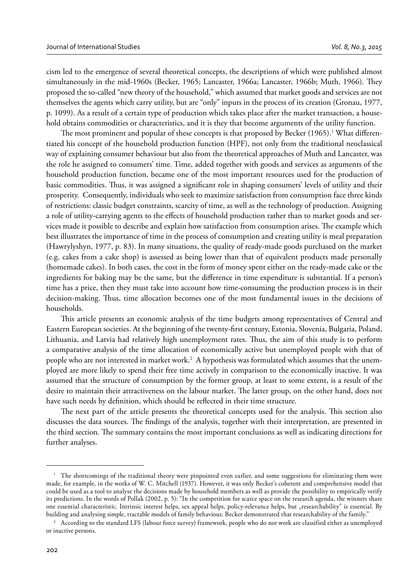cism led to the emergence of several theoretical concepts, the descriptions of which were published almost simultaneously in the mid-1960s (Becker, 1965; Lancaster, 1966a; Lancaster, 1966b; Muth, 1966). They proposed the so-called "new theory of the household," which assumed that market goods and services are not themselves the agents which carry utility, but are "only" inputs in the process of its creation (Gronau, 1977, p. 1099). As a result of a certain type of production which takes place after the market transaction, a household obtains commodities or characteristics, and it is they that become arguments of the utility function.

The most prominent and popular of these concepts is that proposed by Becker (1965). $^{\rm l}$  What differentiated his concept of the household production function (HPF), not only from the traditional neoclassical way of explaining consumer behaviour but also from the theoretical approaches of Muth and Lancaster, was the role he assigned to consumers' time. Time, added together with goods and services as arguments of the household production function, became one of the most important resources used for the production of basic commodities. Thus, it was assigned a significant role in shaping consumers' levels of utility and their prosperity. Consequently, individuals who seek to maximize satisfaction from consumption face three kinds of restrictions: classic budget constraints, scarcity of time, as well as the technology of production. Assigning a role of utility-carrying agents to the effects of household production rather than to market goods and services made it possible to describe and explain how satisfaction from consumption arises. The example which best illustrates the importance of time in the process of consumption and creating utility is meal preparation (Hawrylyshyn, 1977, p. 83). In many situations, the quality of ready-made goods purchased on the market (e.g. cakes from a cake shop) is assessed as being lower than that of equivalent products made personally (homemade cakes). In both cases, the cost in the form of money spent either on the ready-made cake or the ingredients for baking may be the same, but the difference in time expenditure is substantial. If a person's time has a price, then they must take into account how time-consuming the production process is in their decision-making. Thus, time allocation becomes one of the most fundamental issues in the decisions of households.

This article presents an economic analysis of the time budgets among representatives of Central and Eastern European societies. At the beginning of the twenty-first century, Estonia, Slovenia, Bulgaria, Poland, Lithuania, and Latvia had relatively high unemployment rates. Thus, the aim of this study is to perform a comparative analysis of the time allocation of economically active but unemployed people with that of people who are not interested in market work.<sup>2</sup> A hypothesis was formulated which assumes that the unemployed are more likely to spend their free time actively in comparison to the economically inactive. It was assumed that the structure of consumption by the former group, at least to some extent, is a result of the desire to maintain their attractiveness on the labour market. The latter group, on the other hand, does not have such needs by definition, which should be reflected in their time structure.

The next part of the article presents the theoretical concepts used for the analysis. This section also discusses the data sources. The findings of the analysis, together with their interpretation, are presented in the third section. The summary contains the most important conclusions as well as indicating directions for further analyses.

<sup>&</sup>lt;sup>1</sup> The shortcomings of the traditional theory were pinpointed even earlier, and some suggestions for eliminating them were made, for example, in the works of W. C. Mitchell (1937). However, it was only Becker's coherent and comprehensive model that could be used as a tool to analyse the decisions made by household members as well as provide the possibility to empirically verify its predictions. In the words of Pollak (2002, p. 5): "In the competition for scarce space on the research agenda, the winners share one essential characteristic. Intrinsic interest helps, sex appeal helps, policy-relevance helps, but "researchability" is essential. By<br>building and analysing simple, tractable models of family behaviour, Becker demonstra

<sup>&</sup>lt;sup>2</sup> According to the standard LFS (labour force survey) framework, people who do not work are classified either as unemployed or inactive persons.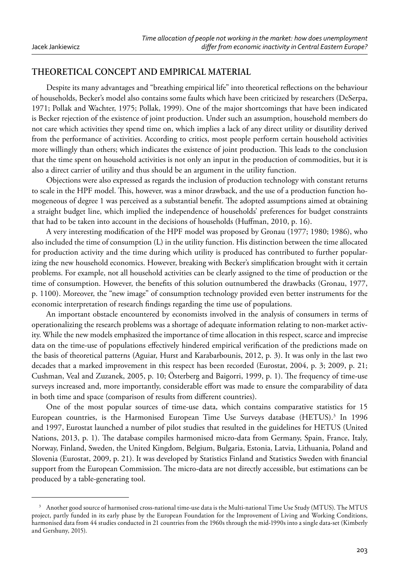## **THEORETICAL CONCEPT AND EMPIRICAL MATERIAL**

Despite its many advantages and "breathing empirical life" into theoretical reflections on the behaviour of households, Becker's model also contains some faults which have been criticized by researchers (DeSerpa, 1971; Pollak and Wachter, 1975; Pollak, 1999). One of the major shortcomings that have been indicated is Becker rejection of the existence of joint production. Under such an assumption, household members do not care which activities they spend time on, which implies a lack of any direct utility or disutility derived from the performance of activities. According to critics, most people perform certain household activities more willingly than others; which indicates the existence of joint production. This leads to the conclusion that the time spent on household activities is not only an input in the production of commodities, but it is also a direct carrier of utility and thus should be an argument in the utility function.

 Objections were also expressed as regards the inclusion of production technology with constant returns to scale in the HPF model. This, however, was a minor drawback, and the use of a production function homogeneous of degree 1 was perceived as a substantial benefit. The adopted assumptions aimed at obtaining a straight budget line, which implied the independence of households' preferences for budget constraints that had to be taken into account in the decisions of households (Huffman, 2010, p. 16).

A very interesting modification of the HPF model was proposed by Gronau (1977; 1980; 1986), who also included the time of consumption (L) in the utility function. His distinction between the time allocated for production activity and the time during which utility is produced has contributed to further popularizing the new household economics. However, breaking with Becker's simplification brought with it certain problems. For example, not all household activities can be clearly assigned to the time of production or the time of consumption. However, the benefits of this solution outnumbered the drawbacks (Gronau, 1977, p. 1100). Moreover, the "new image" of consumption technology provided even better instruments for the economic interpretation of research findings regarding the time use of populations.

 An important obstacle encountered by economists involved in the analysis of consumers in terms of operationalizing the research problems was a shortage of adequate information relating to non-market activity. While the new models emphasized the importance of time allocation in this respect, scarce and imprecise data on the time-use of populations effectively hindered empirical verification of the predictions made on the basis of theoretical patterns (Aguiar, Hurst and Karabarbounis, 2012, p. 3). It was only in the last two decades that a marked improvement in this respect has been recorded (Eurostat, 2004, p. 3; 2009, p. 21; Cushman, Veal and Zuzanek, 2005, p. 10; Österberg and Baigorri, 1999, p. 1). The frequency of time-use surveys increased and, more importantly, considerable effort was made to ensure the comparability of data in both time and space (comparison of results from different countries).

One of the most popular sources of time-use data, which contains comparative statistics for 15 European countries, is the Harmonised European Time Use Surveys database (HETUS).<sup>3</sup> In 1996 and 1997, Eurostat launched a number of pilot studies that resulted in the guidelines for HETUS (United Nations, 2013, p. 1). The database compiles harmonised micro-data from Germany, Spain, France, Italy, Norway, Finland, Sweden, the United Kingdom, Belgium, Bulgaria, Estonia, Latvia, Lithuania, Poland and Slovenia (Eurostat, 2009, p. 21). It was developed by Statistics Finland and Statistics Sweden with financial support from the European Commission. The micro-data are not directly accessible, but estimations can be produced by a table-generating tool.

<sup>3</sup> Another good source of harmonised cross-national time-use data is the Multi-national Time Use Study (MTUS). The MTUS project, partly funded in its early phase by the European Foundation for the Improvement of Living and Working Conditions, harmonised data from 44 studies conducted in 21 countries from the 1960s through the mid-1990s into a single data-set (Kimberly and Gershuny, 2015).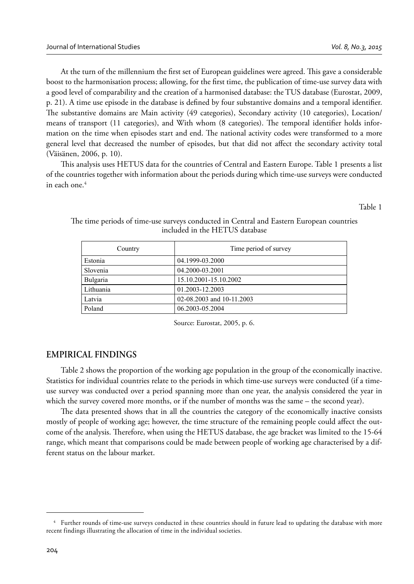At the turn of the millennium the first set of European guidelines were agreed. This gave a considerable boost to the harmonisation process; allowing, for the first time, the publication of time-use survey data with a good level of comparability and the creation of a harmonised database: the TUS database (Eurostat, 2009, p. 21). A time use episode in the database is defined by four substantive domains and a temporal identifier. The substantive domains are Main activity (49 categories), Secondary activity (10 categories), Location/ means of transport (11 categories), and With whom (8 categories). The temporal identifier holds information on the time when episodes start and end. The national activity codes were transformed to a more general level that decreased the number of episodes, but that did not affect the secondary activity total (Väisänen, 2006, p. 10).

This analysis uses HETUS data for the countries of Central and Eastern Europe. Table 1 presents a list of the countries together with information about the periods during which time-use surveys were conducted in each one.<sup>4</sup>

Table 1

| Country   | Time period of survey     |
|-----------|---------------------------|
| Estonia   | 04.1999-03.2000           |
| Slovenia  | 04.2000-03.2001           |
| Bulgaria  | 15.10.2001-15.10.2002     |
| Lithuania | 01.2003-12.2003           |
| Latvia    | 02-08.2003 and 10-11.2003 |
| Poland    | 06.2003-05.2004           |

The time periods of time-use surveys conducted in Central and Eastern European countries included in the HETUS database

Source: Eurostat, 2005, p. 6.

# **EMPIRICAL FINDINGS**

Table 2 shows the proportion of the working age population in the group of the economically inactive. Statistics for individual countries relate to the periods in which time-use surveys were conducted (if a timeuse survey was conducted over a period spanning more than one year, the analysis considered the year in which the survey covered more months, or if the number of months was the same – the second year).

The data presented shows that in all the countries the category of the economically inactive consists mostly of people of working age; however, the time structure of the remaining people could affect the outcome of the analysis. Therefore, when using the HETUS database, the age bracket was limited to the 15-64 range, which meant that comparisons could be made between people of working age characterised by a different status on the labour market.

<sup>4</sup> Further rounds of time-use surveys conducted in these countries should in future lead to updating the database with more recent findings illustrating the allocation of time in the individual societies.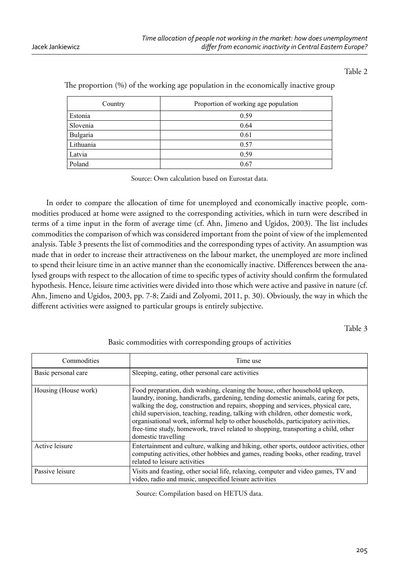#### Table 2

| Country   | Proportion of working age population |
|-----------|--------------------------------------|
| Estonia   | 0.59                                 |
| Slovenia  | 0.64                                 |
| Bulgaria  | 0.61                                 |
| Lithuania | 0.57                                 |
| Latvia    | 0.59                                 |
| Poland    | 0.67                                 |

The proportion (%) of the working age population in the economically inactive group

Source: Own calculation based on Eurostat data.

In order to compare the allocation of time for unemployed and economically inactive people, commodities produced at home were assigned to the corresponding activities, which in turn were described in terms of a time input in the form of average time (cf. Ahn, Jimeno and Ugidos, 2003). The list includes commodities the comparison of which was considered important from the point of view of the implemented analysis. Table 3 presents the list of commodities and the corresponding types of activity. An assumption was made that in order to increase their attractiveness on the labour market, the unemployed are more inclined to spend their leisure time in an active manner than the economically inactive. Differences between the analysed groups with respect to the allocation of time to specific types of activity should confirm the formulated hypothesis. Hence, leisure time activities were divided into those which were active and passive in nature (cf. Ahn, Jimeno and Ugidos, 2003, pp. 7-8; Zaidi and Zolyomi, 2011, p. 30). Obviously, the way in which the different activities were assigned to particular groups is entirely subjective.

Table 3

#### Basic commodities with corresponding groups of activities

| Commodities          | Time use                                                                                                                                                                                                                                                                                                                                                                                                                                                                                                                                       |
|----------------------|------------------------------------------------------------------------------------------------------------------------------------------------------------------------------------------------------------------------------------------------------------------------------------------------------------------------------------------------------------------------------------------------------------------------------------------------------------------------------------------------------------------------------------------------|
| Basic personal care  | Sleeping, eating, other personal care activities                                                                                                                                                                                                                                                                                                                                                                                                                                                                                               |
| Housing (House work) | Food preparation, dish washing, cleaning the house, other household upkeep,<br>laundry, ironing, handicrafts, gardening, tending domestic animals, caring for pets,<br>walking the dog, construction and repairs, shopping and services, physical care,<br>child supervision, teaching, reading, talking with children, other domestic work,<br>organisational work, informal help to other households, participatory activities,<br>free-time study, homework, travel related to shopping, transporting a child, other<br>domestic travelling |
| Active leisure       | Entertainment and culture, walking and hiking, other sports, outdoor activities, other<br>computing activities, other hobbies and games, reading books, other reading, travel<br>related to leisure activities                                                                                                                                                                                                                                                                                                                                 |
| Passive leisure      | Visits and feasting, other social life, relaxing, computer and video games, TV and<br>video, radio and music, unspecified leisure activities                                                                                                                                                                                                                                                                                                                                                                                                   |

Source: Compilation based on HETUS data.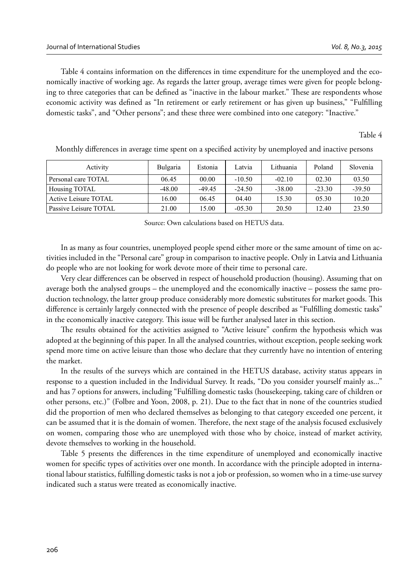Table 4 contains information on the differences in time expenditure for the unemployed and the economically inactive of working age. As regards the latter group, average times were given for people belonging to three categories that can be defined as "inactive in the labour market." These are respondents whose economic activity was defined as "In retirement or early retirement or has given up business," "Fulfilling domestic tasks", and "Other persons"; and these three were combined into one category: "Inactive."

Table 4

| Activity              | Bulgaria | Estonia  | Latvia   | Lithuania | Poland   | Slovenia |
|-----------------------|----------|----------|----------|-----------|----------|----------|
| Personal care TOTAL   | 06.45    | 00.00    | $-10.50$ | $-02.10$  | 02.30    | 03.50    |
| Housing TOTAL         | $-48.00$ | $-49.45$ | $-24.50$ | $-38.00$  | $-23.30$ | $-39.50$ |
| Active Leisure TOTAL  | 16.00    | 06.45    | 04.40    | 15.30     | 05.30    | 10.20    |
| Passive Leisure TOTAL | 21.00    | 15.00    | $-0.530$ | 20.50     | 12.40    | 23.50    |

Monthly differences in average time spent on a specified activity by unemployed and inactive persons

Source: Own calculations based on HETUS data.

In as many as four countries, unemployed people spend either more or the same amount of time on activities included in the "Personal care" group in comparison to inactive people. Only in Latvia and Lithuania do people who are not looking for work devote more of their time to personal care.

Very clear differences can be observed in respect of household production (housing). Assuming that on average both the analysed groups – the unemployed and the economically inactive – possess the same production technology, the latter group produce considerably more domestic substitutes for market goods. This difference is certainly largely connected with the presence of people described as "Fulfilling domestic tasks" in the economically inactive category. This issue will be further analysed later in this section.

The results obtained for the activities assigned to "Active leisure" confirm the hypothesis which was adopted at the beginning of this paper. In all the analysed countries, without exception, people seeking work spend more time on active leisure than those who declare that they currently have no intention of entering the market.

 In the results of the surveys which are contained in the HETUS database, activity status appears in response to a question included in the Individual Survey. It reads, "Do you consider yourself mainly as..." and has 7 options for answers, including "Fulfilling domestic tasks (housekeeping, taking care of children or other persons, etc.)" (Folbre and Yoon, 2008, p. 21). Due to the fact that in none of the countries studied did the proportion of men who declared themselves as belonging to that category exceeded one percent, it can be assumed that it is the domain of women. Therefore, the next stage of the analysis focused exclusively on women, comparing those who are unemployed with those who by choice, instead of market activity, devote themselves to working in the household.

Table 5 presents the differences in the time expenditure of unemployed and economically inactive women for specific types of activities over one month. In accordance with the principle adopted in international labour statistics, fulfilling domestic tasks is not a job or profession, so women who in a time-use survey indicated such a status were treated as economically inactive.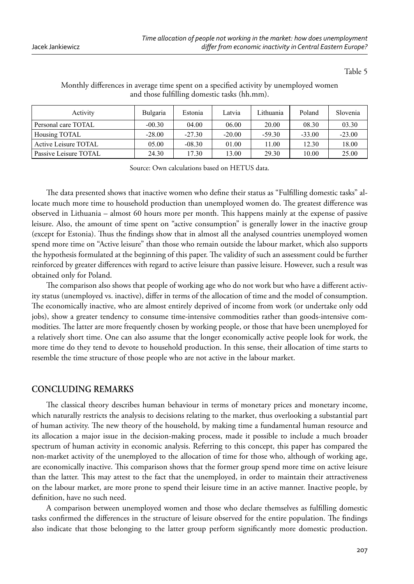Table 5

| Activity              | <b>Bulgaria</b> | Estonia  | Latvia   | Lithuania | Poland   | Slovenia |
|-----------------------|-----------------|----------|----------|-----------|----------|----------|
| Personal care TOTAL   | $-00.30$        | 04.00    | 06.00    | 20.00     | 08.30    | 03.30    |
| Housing TOTAL         | $-28.00$        | $-27.30$ | $-20.00$ | $-59.30$  | $-33.00$ | $-23.00$ |
| Active Leisure TOTAL  | 05.00           | $-08.30$ | 01.00    | 11.00     | 12.30    | 18.00    |
| Passive Leisure TOTAL | 24.30           | 17.30    | 13.00    | 29.30     | 10.00    | 25.00    |

#### Monthly differences in average time spent on a specified activity by unemployed women and those fulfilling domestic tasks (hh.mm).

Source: Own calculations based on HETUS data.

The data presented shows that inactive women who define their status as "Fulfilling domestic tasks" allocate much more time to household production than unemployed women do. The greatest difference was observed in Lithuania – almost 60 hours more per month. This happens mainly at the expense of passive leisure. Also, the amount of time spent on "active consumption" is generally lower in the inactive group (except for Estonia). Thus the findings show that in almost all the analysed countries unemployed women spend more time on "Active leisure" than those who remain outside the labour market, which also supports the hypothesis formulated at the beginning of this paper. The validity of such an assessment could be further reinforced by greater differences with regard to active leisure than passive leisure. However, such a result was obtained only for Poland.

The comparison also shows that people of working age who do not work but who have a different activity status (unemployed vs. inactive), differ in terms of the allocation of time and the model of consumption. The economically inactive, who are almost entirely deprived of income from work (or undertake only odd jobs), show a greater tendency to consume time-intensive commodities rather than goods-intensive commodities. The latter are more frequently chosen by working people, or those that have been unemployed for a relatively short time. One can also assume that the longer economically active people look for work, the more time do they tend to devote to household production. In this sense, their allocation of time starts to resemble the time structure of those people who are not active in the labour market.

#### **CONCLUDING REMARKS**

The classical theory describes human behaviour in terms of monetary prices and monetary income, which naturally restricts the analysis to decisions relating to the market, thus overlooking a substantial part of human activity. The new theory of the household, by making time a fundamental human resource and its allocation a major issue in the decision-making process, made it possible to include a much broader spectrum of human activity in economic analysis. Referring to this concept, this paper has compared the non-market activity of the unemployed to the allocation of time for those who, although of working age, are economically inactive. This comparison shows that the former group spend more time on active leisure than the latter. This may attest to the fact that the unemployed, in order to maintain their attractiveness on the labour market, are more prone to spend their leisure time in an active manner. Inactive people, by definition, have no such need.

A comparison between unemployed women and those who declare themselves as fulfilling domestic tasks confirmed the differences in the structure of leisure observed for the entire population. The findings also indicate that those belonging to the latter group perform significantly more domestic production.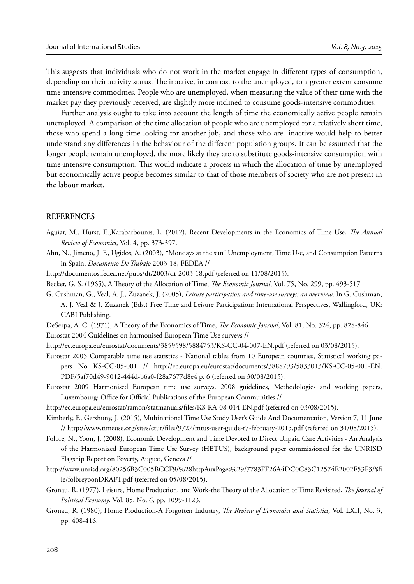This suggests that individuals who do not work in the market engage in different types of consumption, depending on their activity status. The inactive, in contrast to the unemployed, to a greater extent consume time-intensive commodities. People who are unemployed, when measuring the value of their time with the market pay they previously received, are slightly more inclined to consume goods-intensive commodities.

 Further analysis ought to take into account the length of time the economically active people remain unemployed. A comparison of the time allocation of people who are unemployed for a relatively short time, those who spend a long time looking for another job, and those who are inactive would help to better understand any differences in the behaviour of the different population groups. It can be assumed that the longer people remain unemployed, the more likely they are to substitute goods-intensive consumption with time-intensive consumption. This would indicate a process in which the allocation of time by unemployed but economically active people becomes similar to that of those members of society who are not present in the labour market.

#### **REFERENCES**

- Aguiar, M., Hurst, E.,Karabarbounis, L. (2012), Recent Developments in the Economics of Time Use, *The Annual Review of Economics*, Vol. 4, pp. 373-397.
- Ahn, N., Jimeno, J. F., Ugidos, A. (2003), "Mondays at the sun" Unemployment, Time Use, and Consumption Patterns in Spain, *Documento De Trabajo* 2003-18, FEDEA //
- http://documentos.fedea.net/pubs/dt/2003/dt-2003-18.pdf (referred on 11/08/2015).
- Becker, G. S. (1965), A Theory of the Allocation of Time, *The Economic Journal*, Vol. 75, No. 299, pp. 493-517.
- G. Cushman, G., Veal, A. J., Zuzanek, J. (2005), *Leisure participation and time-use surveys: an overview*. In G. Cushman, A. J. Veal & J. Zuzanek (Eds.) Free Time and Leisure Participation: International Perspectives, Wallingford, UK: CABI Publishing.
- DeSerpa, A. C. (1971), A Theory of the Economics of Time, *The Economic Journal*, Vol. 81, No. 324, pp. 828-846. Eurostat 2004 Guidelines on harmonised European Time Use surveys //
- http://ec.europa.eu/eurostat/documents/3859598/5884753/KS-CC-04-007-EN.pdf (referred on 03/08/2015).
- Eurostat 2005 Comparable time use statistics National tables from 10 European countries, Statistical working papers No KS-CC-05-001 // http://ec.europa.eu/eurostat/documents/3888793/5833013/KS-CC-05-001-EN. PDF/5af70d49-9012-444d-b6a0-f28a7677d8e4 p. 6 (referred on 30/08/2015).
- Eurostat 2009 Harmonised European time use surveys. 2008 guidelines, Methodologies and working papers, Luxembourg: Office for Official Publications of the European Communities //
- http://ec.europa.eu/eurostat/ramon/statmanuals/files/KS-RA-08-014-EN.pdf (referred on 03/08/2015).
- Kimberly, F., Gershuny, J. (2015), Multinational Time Use Study User's Guide And Documentation, Version 7, 11 June // http://www.timeuse.org/sites/ctur/fi les/9727/mtus-user-guide-r7-february-2015.pdf (referred on 31/08/2015).
- Folbre, N., Yoon, J. (2008), Economic Development and Time Devoted to Direct Unpaid Care Activities An Analysis of the Harmonized European Time Use Survey (HETUS), background paper commissioned for the UNRISD Flagship Report on Poverty, August, Geneva //
- http://www.unrisd.org/80256B3C005BCCF9/%28httpAuxPages%29/7783FF26A4DC0C83C12574E2002F53F3/\$fi le/folbreyoonDRAFT.pdf (referred on 05/08/2015).
- Gronau, R. (1977), Leisure, Home Production, and Work-the Theory of the Allocation of Time Revisited, *The Journal of Political Economy*, Vol. 85, No. 6, pp. 1099-1123.
- Gronau, R. (1980), Home Production-A Forgotten Industry, *The Review of Economics and Statistics*, Vol. LXII, No. 3, pp. 408-416.